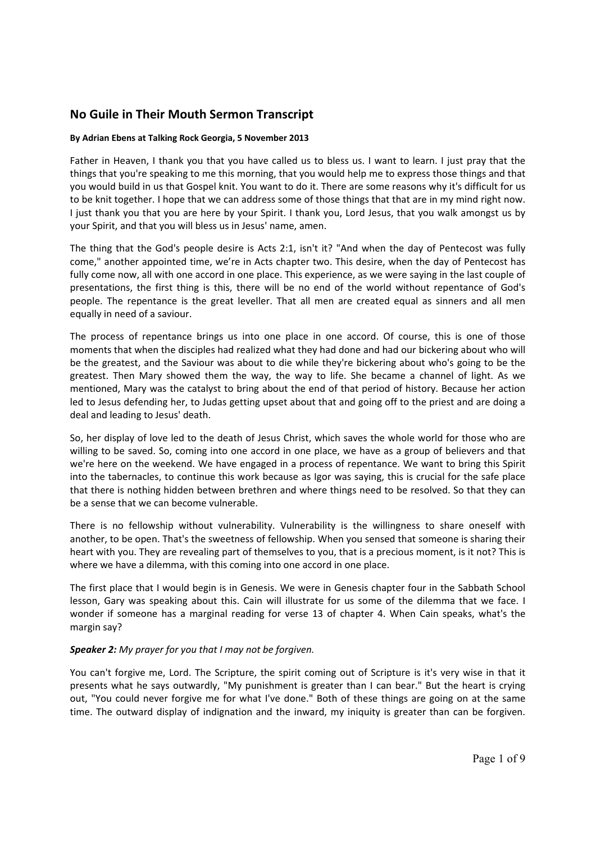## **No Guile in Their Mouth Sermon Transcript**

## **By Adrian Ebens at Talking Rock Georgia, 5 November 2013**

Father in Heaven, I thank you that you have called us to bless us. I want to learn. I just pray that the things that you're speaking to me this morning, that you would help me to express those things and that you would build in us that Gospel knit. You want to do it. There are some reasons why it's difficult for us to be knit together. I hope that we can address some of those things that that are in my mind right now. I just thank you that you are here by your Spirit. I thank you, Lord Jesus, that you walk amongst us by your Spirit, and that you will bless us in Jesus' name, amen.

The thing that the God's people desire is Acts 2:1, isn't it? "And when the day of Pentecost was fully come," another appointed time, we're in Acts chapter two. This desire, when the day of Pentecost has fully come now, all with one accord in one place. This experience, as we were saying in the last couple of presentations, the first thing is this, there will be no end of the world without repentance of God's people. The repentance is the great leveller. That all men are created equal as sinners and all men equally in need of a saviour.

The process of repentance brings us into one place in one accord. Of course, this is one of those moments that when the disciples had realized what they had done and had our bickering about who will be the greatest, and the Saviour was about to die while they're bickering about who's going to be the greatest. Then Mary showed them the way, the way to life. She became a channel of light. As we mentioned, Mary was the catalyst to bring about the end of that period of history. Because her action led to Jesus defending her, to Judas getting upset about that and going off to the priest and are doing a deal and leading to Jesus' death.

So, her display of love led to the death of Jesus Christ, which saves the whole world for those who are willing to be saved. So, coming into one accord in one place, we have as a group of believers and that we're here on the weekend. We have engaged in a process of repentance. We want to bring this Spirit into the tabernacles, to continue this work because as Igor was saying, this is crucial for the safe place that there is nothing hidden between brethren and where things need to be resolved. So that they can be a sense that we can become vulnerable.

There is no fellowship without vulnerability. Vulnerability is the willingness to share oneself with another, to be open. That's the sweetness of fellowship. When you sensed that someone is sharing their heart with you. They are revealing part of themselves to you, that is a precious moment, is it not? This is where we have a dilemma, with this coming into one accord in one place.

The first place that I would begin is in Genesis. We were in Genesis chapter four in the Sabbath School lesson, Gary was speaking about this. Cain will illustrate for us some of the dilemma that we face. I wonder if someone has a marginal reading for verse 13 of chapter 4. When Cain speaks, what's the margin say?

## *Speaker 2: My prayer for you that I may not be forgiven.*

You can't forgive me, Lord. The Scripture, the spirit coming out of Scripture is it's very wise in that it presents what he says outwardly, "My punishment is greater than I can bear." But the heart is crying out, "You could never forgive me for what I've done." Both of these things are going on at the same time. The outward display of indignation and the inward, my iniquity is greater than can be forgiven.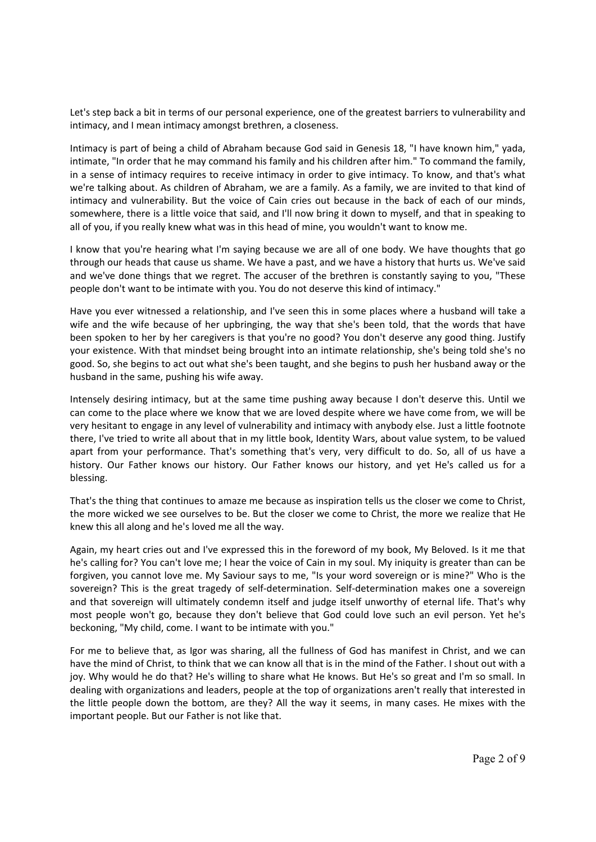Let's step back a bit in terms of our personal experience, one of the greatest barriers to vulnerability and intimacy, and I mean intimacy amongst brethren, a closeness.

Intimacy is part of being a child of Abraham because God said in Genesis 18, "I have known him," yada, intimate, "In order that he may command his family and his children after him." To command the family, in a sense of intimacy requires to receive intimacy in order to give intimacy. To know, and that's what we're talking about. As children of Abraham, we are a family. As a family, we are invited to that kind of intimacy and vulnerability. But the voice of Cain cries out because in the back of each of our minds, somewhere, there is a little voice that said, and I'll now bring it down to myself, and that in speaking to all of you, if you really knew what was in this head of mine, you wouldn't want to know me.

I know that you're hearing what I'm saying because we are all of one body. We have thoughts that go through our heads that cause us shame. We have a past, and we have a history that hurts us. We've said and we've done things that we regret. The accuser of the brethren is constantly saying to you, "These people don't want to be intimate with you. You do not deserve this kind of intimacy."

Have you ever witnessed a relationship, and I've seen this in some places where a husband will take a wife and the wife because of her upbringing, the way that she's been told, that the words that have been spoken to her by her caregivers is that you're no good? You don't deserve any good thing. Justify your existence. With that mindset being brought into an intimate relationship, she's being told she's no good. So, she begins to act out what she's been taught, and she begins to push her husband away or the husband in the same, pushing his wife away.

Intensely desiring intimacy, but at the same time pushing away because I don't deserve this. Until we can come to the place where we know that we are loved despite where we have come from, we will be very hesitant to engage in any level of vulnerability and intimacy with anybody else. Just a little footnote there, I've tried to write all about that in my little book, Identity Wars, about value system, to be valued apart from your performance. That's something that's very, very difficult to do. So, all of us have a history. Our Father knows our history. Our Father knows our history, and yet He's called us for a blessing.

That's the thing that continues to amaze me because as inspiration tells us the closer we come to Christ, the more wicked we see ourselves to be. But the closer we come to Christ, the more we realize that He knew this all along and he's loved me all the way.

Again, my heart cries out and I've expressed this in the foreword of my book, My Beloved. Is it me that he's calling for? You can't love me; I hear the voice of Cain in my soul. My iniquity is greater than can be forgiven, you cannot love me. My Saviour says to me, "Is your word sovereign or is mine?" Who is the sovereign? This is the great tragedy of self-determination. Self-determination makes one a sovereign and that sovereign will ultimately condemn itself and judge itself unworthy of eternal life. That's why most people won't go, because they don't believe that God could love such an evil person. Yet he's beckoning, "My child, come. I want to be intimate with you."

For me to believe that, as Igor was sharing, all the fullness of God has manifest in Christ, and we can have the mind of Christ, to think that we can know all that is in the mind of the Father. I shout out with a joy. Why would he do that? He's willing to share what He knows. But He's so great and I'm so small. In dealing with organizations and leaders, people at the top of organizations aren't really that interested in the little people down the bottom, are they? All the way it seems, in many cases. He mixes with the important people. But our Father is not like that.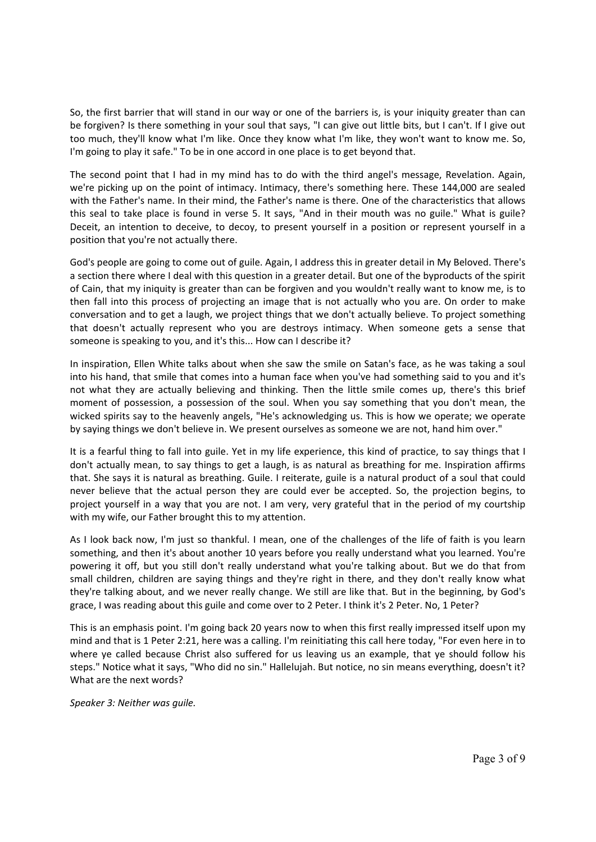So, the first barrier that will stand in our way or one of the barriers is, is your iniquity greater than can be forgiven? Is there something in your soul that says, "I can give out little bits, but I can't. If I give out too much, they'll know what I'm like. Once they know what I'm like, they won't want to know me. So, I'm going to play it safe." To be in one accord in one place is to get beyond that.

The second point that I had in my mind has to do with the third angel's message. Revelation. Again, we're picking up on the point of intimacy. Intimacy, there's something here. These 144,000 are sealed with the Father's name. In their mind, the Father's name is there. One of the characteristics that allows this seal to take place is found in verse 5. It says, "And in their mouth was no guile." What is guile? Deceit, an intention to deceive, to decoy, to present yourself in a position or represent yourself in a position that you're not actually there.

God's people are going to come out of guile. Again, I address this in greater detail in My Beloved. There's a section there where I deal with this question in a greater detail. But one of the byproducts of the spirit of Cain, that my iniquity is greater than can be forgiven and you wouldn't really want to know me, is to then fall into this process of projecting an image that is not actually who you are. On order to make conversation and to get a laugh, we project things that we don't actually believe. To project something that doesn't actually represent who you are destroys intimacy. When someone gets a sense that someone is speaking to you, and it's this... How can I describe it?

In inspiration, Ellen White talks about when she saw the smile on Satan's face, as he was taking a soul into his hand, that smile that comes into a human face when you've had something said to you and it's not what they are actually believing and thinking. Then the little smile comes up, there's this brief moment of possession, a possession of the soul. When you say something that you don't mean, the wicked spirits say to the heavenly angels, "He's acknowledging us. This is how we operate; we operate by saying things we don't believe in. We present ourselves as someone we are not, hand him over."

It is a fearful thing to fall into guile. Yet in my life experience, this kind of practice, to say things that I don't actually mean, to say things to get a laugh, is as natural as breathing for me. Inspiration affirms that. She says it is natural as breathing. Guile. I reiterate, guile is a natural product of a soul that could never believe that the actual person they are could ever be accepted. So, the projection begins, to project yourself in a way that you are not. I am very, very grateful that in the period of my courtship with my wife, our Father brought this to my attention.

As I look back now, I'm just so thankful. I mean, one of the challenges of the life of faith is you learn something, and then it's about another 10 years before you really understand what you learned. You're powering it off, but you still don't really understand what you're talking about. But we do that from small children, children are saying things and they're right in there, and they don't really know what they're talking about, and we never really change. We still are like that. But in the beginning, by God's grace, I was reading about this guile and come over to 2 Peter. I think it's 2 Peter. No, 1 Peter?

This is an emphasis point. I'm going back 20 years now to when this first really impressed itself upon my mind and that is 1 Peter 2:21, here was a calling. I'm reinitiating this call here today, "For even here in to where ye called because Christ also suffered for us leaving us an example, that ye should follow his steps." Notice what it says, "Who did no sin." Hallelujah. But notice, no sin means everything, doesn't it? What are the next words?

*Speaker 3: Neither was guile.*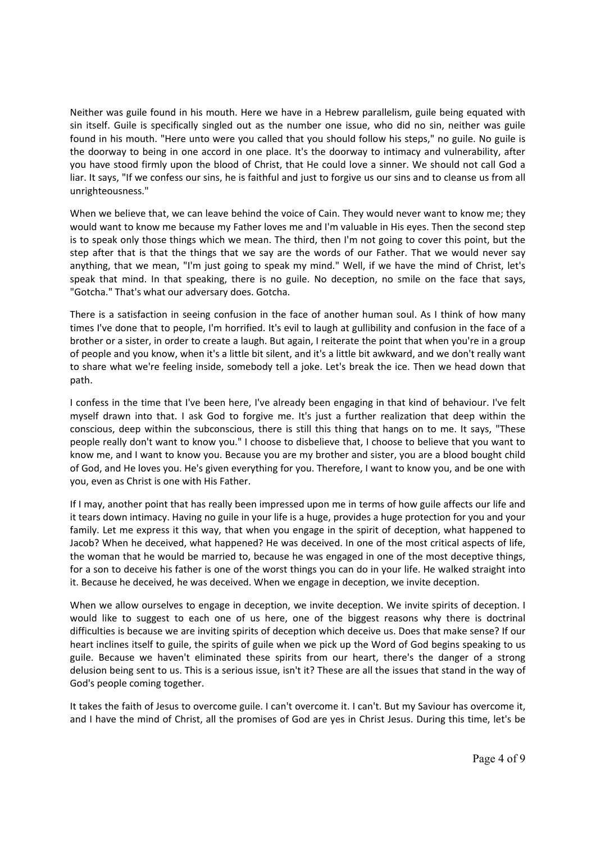Neither was guile found in his mouth. Here we have in a Hebrew parallelism, guile being equated with sin itself. Guile is specifically singled out as the number one issue, who did no sin, neither was guile found in his mouth. "Here unto were you called that you should follow his steps," no guile. No guile is the doorway to being in one accord in one place. It's the doorway to intimacy and vulnerability, after you have stood firmly upon the blood of Christ, that He could love a sinner. We should not call God a liar. It says, "If we confess our sins, he is faithful and just to forgive us our sins and to cleanse us from all unrighteousness."

When we believe that, we can leave behind the voice of Cain. They would never want to know me; they would want to know me because my Father loves me and I'm valuable in His eyes. Then the second step is to speak only those things which we mean. The third, then I'm not going to cover this point, but the step after that is that the things that we say are the words of our Father. That we would never say anything, that we mean, "I'm just going to speak my mind." Well, if we have the mind of Christ, let's speak that mind. In that speaking, there is no guile. No deception, no smile on the face that says, "Gotcha." That's what our adversary does. Gotcha.

There is a satisfaction in seeing confusion in the face of another human soul. As I think of how many times I've done that to people, I'm horrified. It's evil to laugh at gullibility and confusion in the face of a brother or a sister, in order to create a laugh. But again, I reiterate the point that when you're in a group of people and you know, when it's a little bit silent, and it's a little bit awkward, and we don't really want to share what we're feeling inside, somebody tell a joke. Let's break the ice. Then we head down that path.

I confess in the time that I've been here, I've already been engaging in that kind of behaviour. I've felt myself drawn into that. I ask God to forgive me. It's just a further realization that deep within the conscious, deep within the subconscious, there is still this thing that hangs on to me. It says, "These people really don't want to know you." I choose to disbelieve that, I choose to believe that you want to know me, and I want to know you. Because you are my brother and sister, you are a blood bought child of God, and He loves you. He's given everything for you. Therefore, I want to know you, and be one with you, even as Christ is one with His Father.

If I may, another point that has really been impressed upon me in terms of how guile affects our life and it tears down intimacy. Having no guile in your life is a huge, provides a huge protection for you and your family. Let me express it this way, that when you engage in the spirit of deception, what happened to Jacob? When he deceived, what happened? He was deceived. In one of the most critical aspects of life, the woman that he would be married to, because he was engaged in one of the most deceptive things, for a son to deceive his father is one of the worst things you can do in your life. He walked straight into it. Because he deceived, he was deceived. When we engage in deception, we invite deception.

When we allow ourselves to engage in deception, we invite deception. We invite spirits of deception. I would like to suggest to each one of us here, one of the biggest reasons why there is doctrinal difficulties is because we are inviting spirits of deception which deceive us. Does that make sense? If our heart inclines itself to guile, the spirits of guile when we pick up the Word of God begins speaking to us guile. Because we haven't eliminated these spirits from our heart, there's the danger of a strong delusion being sent to us. This is a serious issue, isn't it? These are all the issues that stand in the way of God's people coming together.

It takes the faith of Jesus to overcome guile. I can't overcome it. I can't. But my Saviour has overcome it, and I have the mind of Christ, all the promises of God are yes in Christ Jesus. During this time, let's be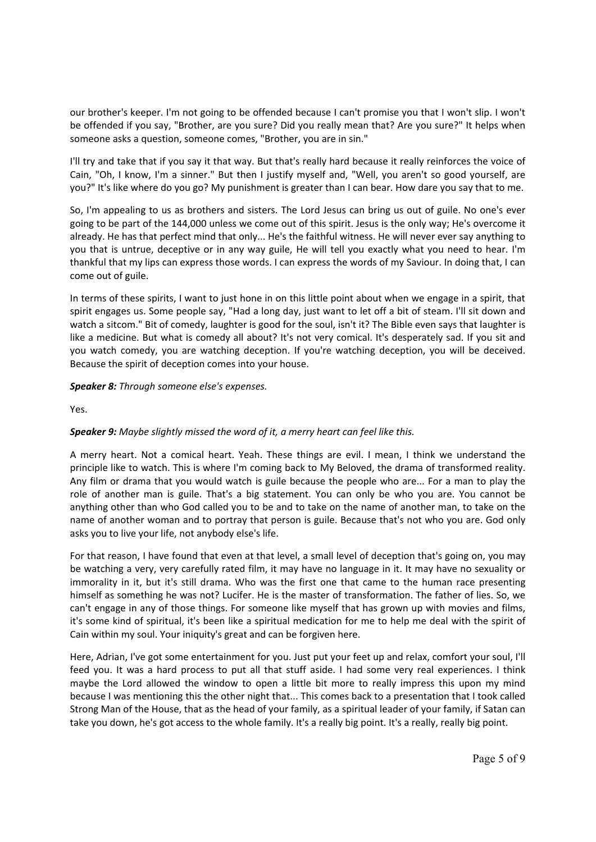our brother's keeper. I'm not going to be offended because I can't promise you that I won't slip. I won't be offended if you say, "Brother, are you sure? Did you really mean that? Are you sure?" It helps when someone asks a question, someone comes, "Brother, you are in sin."

I'll try and take that if you say it that way. But that's really hard because it really reinforces the voice of Cain, "Oh, I know, I'm a sinner." But then I justify myself and, "Well, you aren't so good yourself, are you?" It's like where do you go? My punishment is greater than I can bear. How dare you say that to me.

So, I'm appealing to us as brothers and sisters. The Lord Jesus can bring us out of guile. No one's ever going to be part of the 144,000 unless we come out of this spirit. Jesus is the only way; He's overcome it already. He has that perfect mind that only... He's the faithful witness. He will never ever say anything to you that is untrue, deceptive or in any way guile, He will tell you exactly what you need to hear. I'm thankful that my lips can express those words. I can express the words of my Saviour. In doing that, I can come out of guile.

In terms of these spirits, I want to just hone in on this little point about when we engage in a spirit, that spirit engages us. Some people say, "Had a long day, just want to let off a bit of steam. I'll sit down and watch a sitcom." Bit of comedy, laughter is good for the soul, isn't it? The Bible even says that laughter is like a medicine. But what is comedy all about? It's not very comical. It's desperately sad. If you sit and you watch comedy, you are watching deception. If you're watching deception, you will be deceived. Because the spirit of deception comes into your house.

*Speaker 8: Through someone else's expenses.* 

Yes.

## *Speaker 9: Maybe slightly missed the word of it, a merry heart can feel like this.*

A merry heart. Not a comical heart. Yeah. These things are evil. I mean, I think we understand the principle like to watch. This is where I'm coming back to My Beloved, the drama of transformed reality. Any film or drama that you would watch is guile because the people who are... For a man to play the role of another man is guile. That's a big statement. You can only be who you are. You cannot be anything other than who God called you to be and to take on the name of another man, to take on the name of another woman and to portray that person is guile. Because that's not who you are. God only asks you to live your life, not anybody else's life.

For that reason, I have found that even at that level, a small level of deception that's going on, you may be watching a very, very carefully rated film, it may have no language in it. It may have no sexuality or immorality in it, but it's still drama. Who was the first one that came to the human race presenting himself as something he was not? Lucifer. He is the master of transformation. The father of lies. So, we can't engage in any of those things. For someone like myself that has grown up with movies and films, it's some kind of spiritual, it's been like a spiritual medication for me to help me deal with the spirit of Cain within my soul. Your iniquity's great and can be forgiven here.

Here, Adrian, I've got some entertainment for you. Just put your feet up and relax, comfort your soul, I'll feed you. It was a hard process to put all that stuff aside. I had some very real experiences. I think maybe the Lord allowed the window to open a little bit more to really impress this upon my mind because I was mentioning this the other night that... This comes back to a presentation that I took called Strong Man of the House, that as the head of your family, as a spiritual leader of your family, if Satan can take you down, he's got access to the whole family. It's a really big point. It's a really, really big point.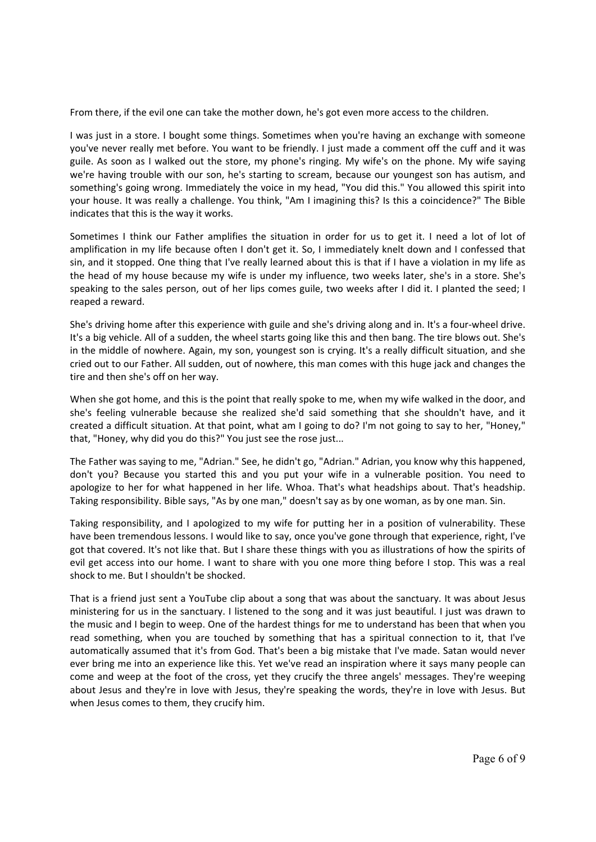From there, if the evil one can take the mother down, he's got even more access to the children.

I was just in a store. I bought some things. Sometimes when you're having an exchange with someone you've never really met before. You want to be friendly. I just made a comment off the cuff and it was guile. As soon as I walked out the store, my phone's ringing. My wife's on the phone. My wife saying we're having trouble with our son, he's starting to scream, because our youngest son has autism, and something's going wrong. Immediately the voice in my head, "You did this." You allowed this spirit into your house. It was really a challenge. You think, "Am I imagining this? Is this a coincidence?" The Bible indicates that this is the way it works.

Sometimes I think our Father amplifies the situation in order for us to get it. I need a lot of lot of amplification in my life because often I don't get it. So, I immediately knelt down and I confessed that sin, and it stopped. One thing that I've really learned about this is that if I have a violation in my life as the head of my house because my wife is under my influence, two weeks later, she's in a store. She's speaking to the sales person, out of her lips comes guile, two weeks after I did it. I planted the seed; I reaped a reward.

She's driving home after this experience with guile and she's driving along and in. It's a four‐wheel drive. It's a big vehicle. All of a sudden, the wheel starts going like this and then bang. The tire blows out. She's in the middle of nowhere. Again, my son, youngest son is crying. It's a really difficult situation, and she cried out to our Father. All sudden, out of nowhere, this man comes with this huge jack and changes the tire and then she's off on her way.

When she got home, and this is the point that really spoke to me, when my wife walked in the door, and she's feeling vulnerable because she realized she'd said something that she shouldn't have, and it created a difficult situation. At that point, what am I going to do? I'm not going to say to her, "Honey," that, "Honey, why did you do this?" You just see the rose just...

The Father was saying to me, "Adrian." See, he didn't go, "Adrian." Adrian, you know why this happened, don't you? Because you started this and you put your wife in a vulnerable position. You need to apologize to her for what happened in her life. Whoa. That's what headships about. That's headship. Taking responsibility. Bible says, "As by one man," doesn't say as by one woman, as by one man. Sin.

Taking responsibility, and I apologized to my wife for putting her in a position of vulnerability. These have been tremendous lessons. I would like to say, once you've gone through that experience, right, I've got that covered. It's not like that. But I share these things with you as illustrations of how the spirits of evil get access into our home. I want to share with you one more thing before I stop. This was a real shock to me. But I shouldn't be shocked.

That is a friend just sent a YouTube clip about a song that was about the sanctuary. It was about Jesus ministering for us in the sanctuary. I listened to the song and it was just beautiful. I just was drawn to the music and I begin to weep. One of the hardest things for me to understand has been that when you read something, when you are touched by something that has a spiritual connection to it, that I've automatically assumed that it's from God. That's been a big mistake that I've made. Satan would never ever bring me into an experience like this. Yet we've read an inspiration where it says many people can come and weep at the foot of the cross, yet they crucify the three angels' messages. They're weeping about Jesus and they're in love with Jesus, they're speaking the words, they're in love with Jesus. But when Jesus comes to them, they crucify him.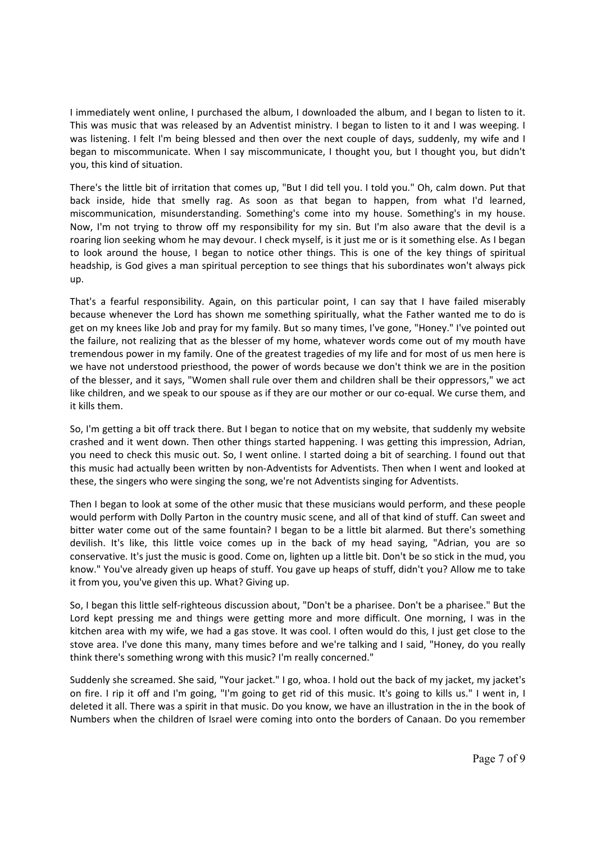I immediately went online, I purchased the album, I downloaded the album, and I began to listen to it. This was music that was released by an Adventist ministry. I began to listen to it and I was weeping. I was listening. I felt I'm being blessed and then over the next couple of days, suddenly, my wife and I began to miscommunicate. When I say miscommunicate, I thought you, but I thought you, but didn't you, this kind of situation.

There's the little bit of irritation that comes up, "But I did tell you. I told you." Oh, calm down. Put that back inside, hide that smelly rag. As soon as that began to happen, from what I'd learned, miscommunication, misunderstanding. Something's come into my house. Something's in my house. Now, I'm not trying to throw off my responsibility for my sin. But I'm also aware that the devil is a roaring lion seeking whom he may devour. I check myself, is it just me or is it something else. As I began to look around the house, I began to notice other things. This is one of the key things of spiritual headship, is God gives a man spiritual perception to see things that his subordinates won't always pick up.

That's a fearful responsibility. Again, on this particular point, I can say that I have failed miserably because whenever the Lord has shown me something spiritually, what the Father wanted me to do is get on my knees like Job and pray for my family. But so many times, I've gone, "Honey." I've pointed out the failure, not realizing that as the blesser of my home, whatever words come out of my mouth have tremendous power in my family. One of the greatest tragedies of my life and for most of us men here is we have not understood priesthood, the power of words because we don't think we are in the position of the blesser, and it says, "Women shall rule over them and children shall be their oppressors," we act like children, and we speak to our spouse as if they are our mother or our co-equal. We curse them, and it kills them.

So, I'm getting a bit off track there. But I began to notice that on my website, that suddenly my website crashed and it went down. Then other things started happening. I was getting this impression, Adrian, you need to check this music out. So, I went online. I started doing a bit of searching. I found out that this music had actually been written by non‐Adventists for Adventists. Then when I went and looked at these, the singers who were singing the song, we're not Adventists singing for Adventists.

Then I began to look at some of the other music that these musicians would perform, and these people would perform with Dolly Parton in the country music scene, and all of that kind of stuff. Can sweet and bitter water come out of the same fountain? I began to be a little bit alarmed. But there's something devilish. It's like, this little voice comes up in the back of my head saying, "Adrian, you are so conservative. It's just the music is good. Come on, lighten up a little bit. Don't be so stick in the mud, you know." You've already given up heaps of stuff. You gave up heaps of stuff, didn't you? Allow me to take it from you, you've given this up. What? Giving up.

So, I began this little self‐righteous discussion about, "Don't be a pharisee. Don't be a pharisee." But the Lord kept pressing me and things were getting more and more difficult. One morning, I was in the kitchen area with my wife, we had a gas stove. It was cool. I often would do this, I just get close to the stove area. I've done this many, many times before and we're talking and I said, "Honey, do you really think there's something wrong with this music? I'm really concerned."

Suddenly she screamed. She said, "Your jacket." I go, whoa. I hold out the back of my jacket, my jacket's on fire. I rip it off and I'm going, "I'm going to get rid of this music. It's going to kills us." I went in, I deleted it all. There was a spirit in that music. Do you know, we have an illustration in the in the book of Numbers when the children of Israel were coming into onto the borders of Canaan. Do you remember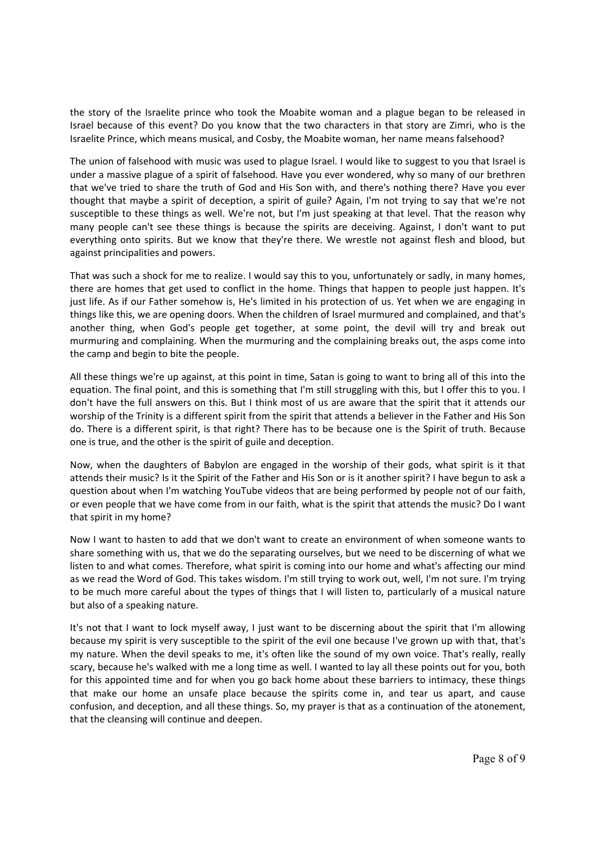the story of the Israelite prince who took the Moabite woman and a plague began to be released in Israel because of this event? Do you know that the two characters in that story are Zimri, who is the Israelite Prince, which means musical, and Cosby, the Moabite woman, her name means falsehood?

The union of falsehood with music was used to plague Israel. I would like to suggest to you that Israel is under a massive plague of a spirit of falsehood. Have you ever wondered, why so many of our brethren that we've tried to share the truth of God and His Son with, and there's nothing there? Have you ever thought that maybe a spirit of deception, a spirit of guile? Again, I'm not trying to say that we're not susceptible to these things as well. We're not, but I'm just speaking at that level. That the reason why many people can't see these things is because the spirits are deceiving. Against, I don't want to put everything onto spirits. But we know that they're there. We wrestle not against flesh and blood, but against principalities and powers.

That was such a shock for me to realize. I would say this to you, unfortunately or sadly, in many homes, there are homes that get used to conflict in the home. Things that happen to people just happen. It's just life. As if our Father somehow is, He's limited in his protection of us. Yet when we are engaging in things like this, we are opening doors. When the children of Israel murmured and complained, and that's another thing, when God's people get together, at some point, the devil will try and break out murmuring and complaining. When the murmuring and the complaining breaks out, the asps come into the camp and begin to bite the people.

All these things we're up against, at this point in time, Satan is going to want to bring all of this into the equation. The final point, and this is something that I'm still struggling with this, but I offer this to you. I don't have the full answers on this. But I think most of us are aware that the spirit that it attends our worship of the Trinity is a different spirit from the spirit that attends a believer in the Father and His Son do. There is a different spirit, is that right? There has to be because one is the Spirit of truth. Because one is true, and the other is the spirit of guile and deception.

Now, when the daughters of Babylon are engaged in the worship of their gods, what spirit is it that attends their music? Is it the Spirit of the Father and His Son or is it another spirit? I have begun to ask a question about when I'm watching YouTube videos that are being performed by people not of our faith, or even people that we have come from in our faith, what is the spirit that attends the music? Do I want that spirit in my home?

Now I want to hasten to add that we don't want to create an environment of when someone wants to share something with us, that we do the separating ourselves, but we need to be discerning of what we listen to and what comes. Therefore, what spirit is coming into our home and what's affecting our mind as we read the Word of God. This takes wisdom. I'm still trying to work out, well, I'm not sure. I'm trying to be much more careful about the types of things that I will listen to, particularly of a musical nature but also of a speaking nature.

It's not that I want to lock myself away, I just want to be discerning about the spirit that I'm allowing because my spirit is very susceptible to the spirit of the evil one because I've grown up with that, that's my nature. When the devil speaks to me, it's often like the sound of my own voice. That's really, really scary, because he's walked with me a long time as well. I wanted to lay all these points out for you, both for this appointed time and for when you go back home about these barriers to intimacy, these things that make our home an unsafe place because the spirits come in, and tear us apart, and cause confusion, and deception, and all these things. So, my prayer is that as a continuation of the atonement, that the cleansing will continue and deepen.